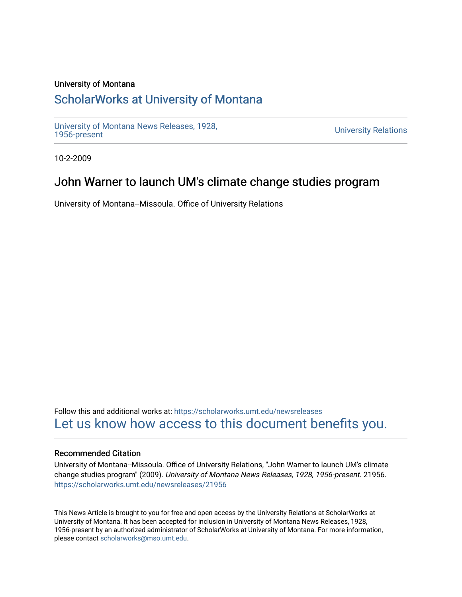### University of Montana

# [ScholarWorks at University of Montana](https://scholarworks.umt.edu/)

[University of Montana News Releases, 1928,](https://scholarworks.umt.edu/newsreleases) 

**University Relations** 

10-2-2009

## John Warner to launch UM's climate change studies program

University of Montana--Missoula. Office of University Relations

Follow this and additional works at: [https://scholarworks.umt.edu/newsreleases](https://scholarworks.umt.edu/newsreleases?utm_source=scholarworks.umt.edu%2Fnewsreleases%2F21956&utm_medium=PDF&utm_campaign=PDFCoverPages) [Let us know how access to this document benefits you.](https://goo.gl/forms/s2rGfXOLzz71qgsB2) 

#### Recommended Citation

University of Montana--Missoula. Office of University Relations, "John Warner to launch UM's climate change studies program" (2009). University of Montana News Releases, 1928, 1956-present. 21956. [https://scholarworks.umt.edu/newsreleases/21956](https://scholarworks.umt.edu/newsreleases/21956?utm_source=scholarworks.umt.edu%2Fnewsreleases%2F21956&utm_medium=PDF&utm_campaign=PDFCoverPages) 

This News Article is brought to you for free and open access by the University Relations at ScholarWorks at University of Montana. It has been accepted for inclusion in University of Montana News Releases, 1928, 1956-present by an authorized administrator of ScholarWorks at University of Montana. For more information, please contact [scholarworks@mso.umt.edu.](mailto:scholarworks@mso.umt.edu)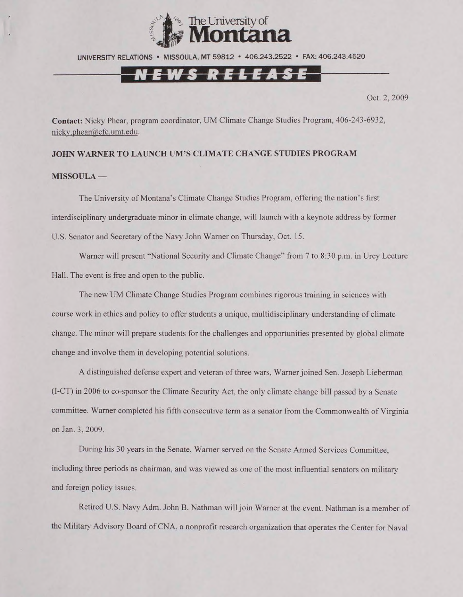

UNIVERSITY RELATIONS • MISSOULA. MT 59812 • 406.243.2522 • FAX: 406.243.4520

### I E W S R E L E A S E

Oct. 2, 2009

**Contact:** Nicky Phear, program coordinator, **UM** Climate Change Studies Program, 406-243-6932, [nickv.phear@cfc.umt.edu](mailto:nickv.phear@cfc.umt.edu).

#### **JOHN WARNER TO LAUNCH UM'S CLIMATE CHANGE STUDIES PROGRAM**

#### **MISSOULA —**

The University of Montana's Climate Change Studies Program, offering the nation's first interdisciplinary undergraduate minor in climate change, will launch with a keynote address by former U.S. Senator and Secretary of the Navy John Warner on Thursday, Oct. 15.

Warner will present "National Security and Climate Change" from 7 to 8:30 p.m. in Urey Lecture Hall. The event is free and open to the public.

The new UM Climate Change Studies Program combines rigorous training in sciences with course work in ethics and policy to offer students a unique, multidisciplinary understanding of climate change. The minor will prepare students for the challenges and opportunities presented by global climate change and involve them in developing potential solutions.

A distinguished defense expert and veteran of three wars, Warner joined Sen. Joseph Lieberman (I-CT) in 2006 to co-sponsor the Climate Security Act, the only climate change bill passed by a Senate committee. Warner completed his fifth consecutive term as a senator from the Commonwealth of Virginia on Jan. 3, 2009.

During his 30 years in the Senate, Warner served on the Senate Armed Services Committee, including three periods as chairman, and was viewed as one of the most influential senators on military and foreign policy issues.

Retired U.S. Navy Adm. John B. Nathman will join Warner at the event. Nathman is a member of the Military Advisory Board of CNA, a nonprofit research organization that operates the Center for Naval